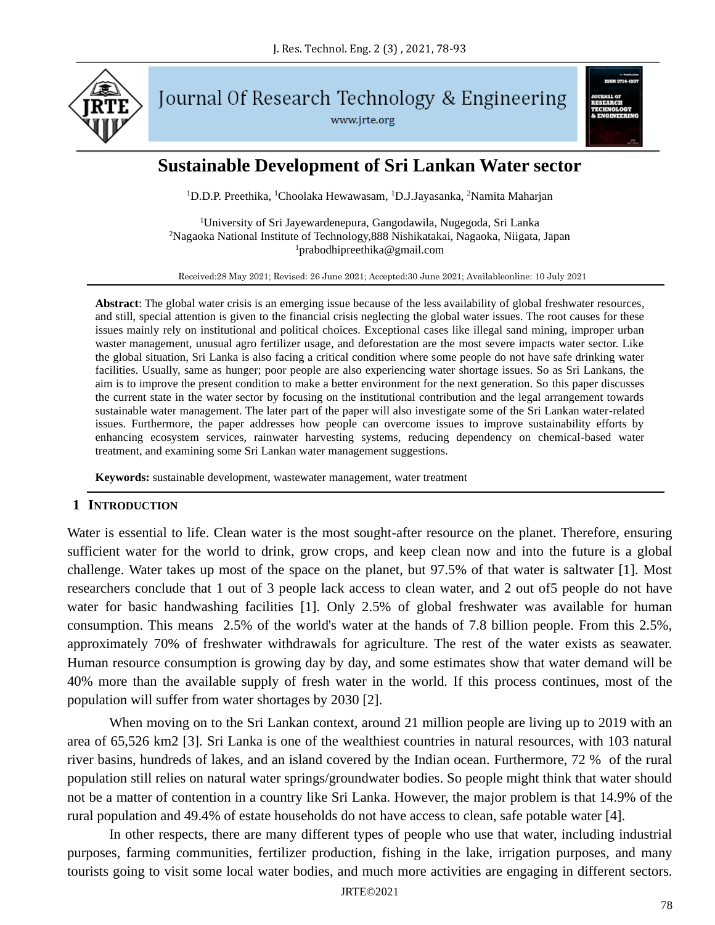

Journal Of Research Technology & Engineering www.jrte.org



# **Sustainable Development of Sri Lankan Water sector**

<sup>1</sup>D.D.P. Preethika, <sup>1</sup>Choolaka Hewawasam, <sup>1</sup>D.J.Jayasanka, <sup>2</sup>Namita Maharjan

<sup>1</sup>University of Sri Jayewardenepura, Gangodawila, Nugegoda, Sri Lanka <sup>2</sup>Nagaoka National Institute of Technology,888 Nishikatakai, Nagaoka, Niigata, Japan  $1$ prabodhipreethika@gmail.com

Received:28 May 2021; Revised: 26 June 2021; Accepted:30 June 2021; Availableonline: 10 July 2021

**Abstract**: The global water crisis is an emerging issue because of the less availability of global freshwater resources, and still, special attention is given to the financial crisis neglecting the global water issues. The root causes for these issues mainly rely on institutional and political choices. Exceptional cases like illegal sand mining, improper urban waster management, unusual agro fertilizer usage, and deforestation are the most severe impacts water sector. Like the global situation, Sri Lanka is also facing a critical condition where some people do not have safe drinking water facilities. Usually, same as hunger; poor people are also experiencing water shortage issues. So as Sri Lankans, the aim is to improve the present condition to make a better environment for the next generation. So this paper discusses the current state in the water sector by focusing on the institutional contribution and the legal arrangement towards sustainable water management. The later part of the paper will also investigate some of the Sri Lankan water-related issues. Furthermore, the paper addresses how people can overcome issues to improve sustainability efforts by enhancing ecosystem services, rainwater harvesting systems, reducing dependency on chemical-based water treatment, and examining some Sri Lankan water management suggestions.

**Keywords:** sustainable development, wastewater management, water treatment

#### **1 INTRODUCTION**

Water is essential to life. Clean water is the most sought-after resource on the planet. Therefore, ensuring sufficient water for the world to drink, grow crops, and keep clean now and into the future is a global challenge. Water takes up most of the space on the planet, but 97.5% of that water is saltwater [1]. Most researchers conclude that 1 out of 3 people lack access to clean water, and 2 out of5 people do not have water for basic handwashing facilities [1]. Only 2.5% of global freshwater was available for human consumption. This means 2.5% of the world's water at the hands of 7.8 billion people. From this 2.5%, approximately 70% of freshwater withdrawals for agriculture. The rest of the water exists as seawater. Human resource consumption is growing day by day, and some estimates show that water demand will be 40% more than the available supply of fresh water in the world. If this process continues, most of the population will suffer from water shortages by 2030 [2].

When moving on to the Sri Lankan context, around 21 million people are living up to 2019 with an area of 65,526 km2 [3]. Sri Lanka is one of the wealthiest countries in natural resources, with 103 natural river basins, hundreds of lakes, and an island covered by the Indian ocean. Furthermore, 72 % of the rural population still relies on natural water springs/groundwater bodies. So people might think that water should not be a matter of contention in a country like Sri Lanka. However, the major problem is that 14.9% of the rural population and 49.4% of estate households do not have access to clean, safe potable water [4].

In other respects, there are many different types of people who use that water, including industrial purposes, farming communities, fertilizer production, fishing in the lake, irrigation purposes, and many tourists going to visit some local water bodies, and much more activities are engaging in different sectors.

JRTE©2021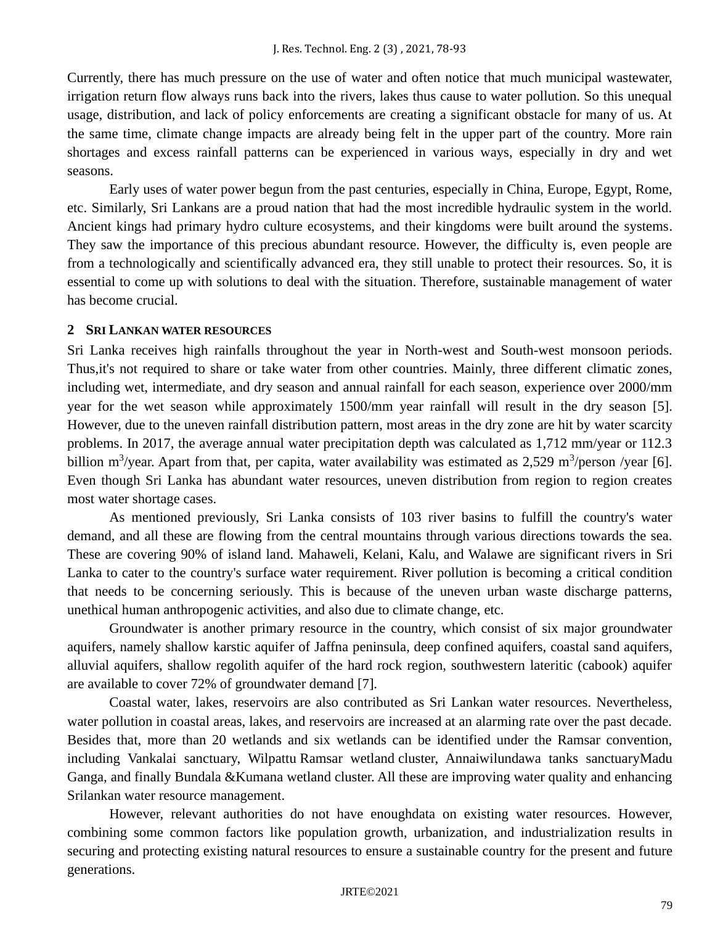Currently, there has much pressure on the use of water and often notice that much municipal wastewater, irrigation return flow always runs back into the rivers, lakes thus cause to water pollution. So this unequal usage, distribution, and lack of policy enforcements are creating a significant obstacle for many of us. At the same time, climate change impacts are already being felt in the upper part of the country. More rain shortages and excess rainfall patterns can be experienced in various ways, especially in dry and wet seasons.

Early uses of water power begun from the past centuries, especially in China, Europe, Egypt, Rome, etc. Similarly, Sri Lankans are a proud nation that had the most incredible hydraulic system in the world. Ancient kings had primary hydro culture ecosystems, and their kingdoms were built around the systems. They saw the importance of this precious abundant resource. However, the difficulty is, even people are from a technologically and scientifically advanced era, they still unable to protect their resources. So, it is essential to come up with solutions to deal with the situation. Therefore, sustainable management of water has become crucial.

# **2 SRI LANKAN WATER RESOURCES**

Sri Lanka receives high rainfalls throughout the year in North-west and South-west monsoon periods. Thus,it's not required to share or take water from other countries. Mainly, three different climatic zones, including wet, intermediate, and dry season and annual rainfall for each season, experience over 2000/mm year for the wet season while approximately 1500/mm year rainfall will result in the dry season [5]. However, due to the uneven rainfall distribution pattern, most areas in the dry zone are hit by water scarcity problems. In 2017, the average annual water precipitation depth was calculated as 1,712 mm/year or 112.3 billion m<sup>3</sup>/year. Apart from that, per capita, water availability was estimated as  $2,529$  m<sup>3</sup>/person /year [6]. Even though Sri Lanka has abundant water resources, uneven distribution from region to region creates most water shortage cases.

As mentioned previously, Sri Lanka consists of 103 river basins to fulfill the country's water demand, and all these are flowing from the central mountains through various directions towards the sea. These are covering 90% of island land. Mahaweli, Kelani, Kalu, and Walawe are significant rivers in Sri Lanka to cater to the country's surface water requirement. River pollution is becoming a critical condition that needs to be concerning seriously. This is because of the uneven urban waste discharge patterns, unethical human anthropogenic activities, and also due to climate change, etc.

Groundwater is another primary resource in the country, which consist of six major groundwater aquifers, namely shallow karstic aquifer of Jaffna peninsula, deep confined aquifers, coastal sand aquifers, alluvial aquifers, shallow regolith aquifer of the hard rock region, southwestern lateritic (cabook) aquifer are available to cover 72% of groundwater demand [7].

Coastal water, lakes, reservoirs are also contributed as Sri Lankan water resources. Nevertheless, water pollution in coastal areas, lakes, and reservoirs are increased at an alarming rate over the past decade. Besides that, more than 20 wetlands and six wetlands can be identified under the Ramsar convention, including Vankalai sanctuary, Wilpattu Ramsar wetland cluster, Annaiwilundawa tanks sanctuaryMadu Ganga, and finally Bundala &Kumana wetland cluster. All these are improving water quality and enhancing Srilankan water resource management.

However, relevant authorities do not have enoughdata on existing water resources. However, combining some common factors like population growth, urbanization, and industrialization results in securing and protecting existing natural resources to ensure a sustainable country for the present and future generations.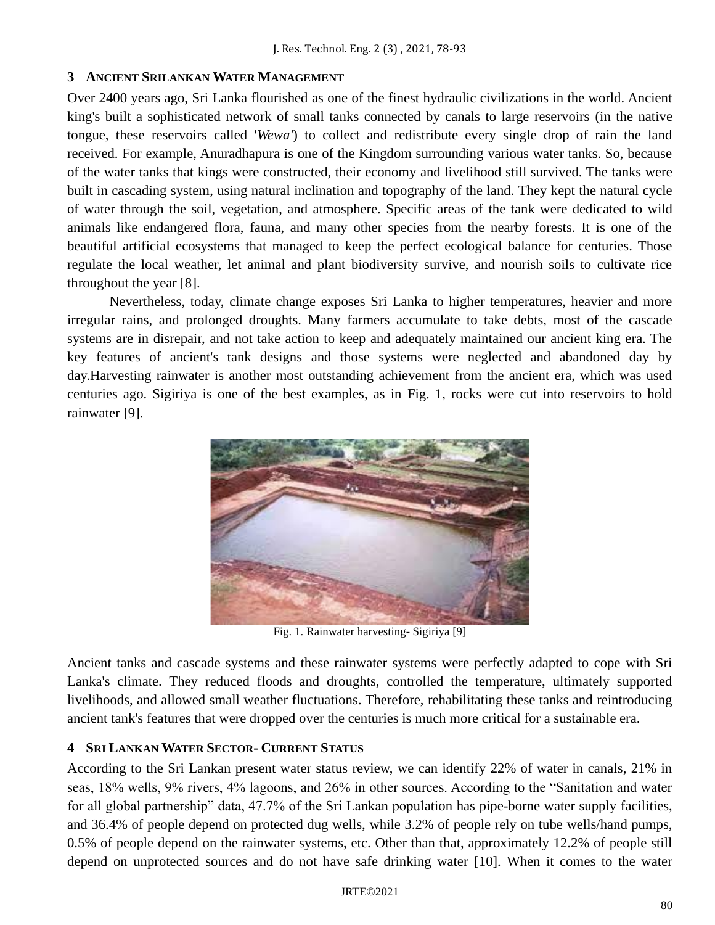# **3 ANCIENT SRILANKAN WATER MANAGEMENT**

Over 2400 years ago, Sri Lanka flourished as one of the finest hydraulic civilizations in the world. Ancient king's built a sophisticated network of small tanks connected by canals to large reservoirs (in the native tongue, these reservoirs called '*Wewa'*) to collect and redistribute every single drop of rain the land received. For example, Anuradhapura is one of the Kingdom surrounding various water tanks. So, because of the water tanks that kings were constructed, their economy and livelihood still survived. The tanks were built in cascading system, using natural inclination and topography of the land. They kept the natural cycle of water through the soil, vegetation, and atmosphere. Specific areas of the tank were dedicated to wild animals like endangered flora, fauna, and many other species from the nearby forests. It is one of the beautiful artificial ecosystems that managed to keep the perfect ecological balance for centuries. Those regulate the local weather, let animal and plant biodiversity survive, and nourish soils to cultivate rice throughout the year [8].

Nevertheless, today, climate change exposes Sri Lanka to higher temperatures, heavier and more irregular rains, and prolonged droughts. Many farmers accumulate to take debts, most of the cascade systems are in disrepair, and not take action to keep and adequately maintained our ancient king era. The key features of ancient's tank designs and those systems were neglected and abandoned day by day.Harvesting rainwater is another most outstanding achievement from the ancient era, which was used centuries ago. Sigiriya is one of the best examples, as in Fig. 1, rocks were cut into reservoirs to hold rainwater [9].



Fig. 1. Rainwater harvesting- Sigiriya [9]

Ancient tanks and cascade systems and these rainwater systems were perfectly adapted to cope with Sri Lanka's climate. They reduced floods and droughts, controlled the temperature, ultimately supported livelihoods, and allowed small weather fluctuations. Therefore, rehabilitating these tanks and reintroducing ancient tank's features that were dropped over the centuries is much more critical for a sustainable era.

# **4 SRI LANKAN WATER SECTOR- CURRENT STATUS**

According to the Sri Lankan present water status review, we can identify 22% of water in canals, 21% in seas, 18% wells, 9% rivers, 4% lagoons, and 26% in other sources. According to the "Sanitation and water for all global partnership" data, 47.7% of the Sri Lankan population has pipe-borne water supply facilities, and 36.4% of people depend on protected dug wells, while 3.2% of people rely on tube wells/hand pumps, 0.5% of people depend on the rainwater systems, etc. Other than that, approximately 12.2% of people still depend on unprotected sources and do not have safe drinking water [10]. When it comes to the water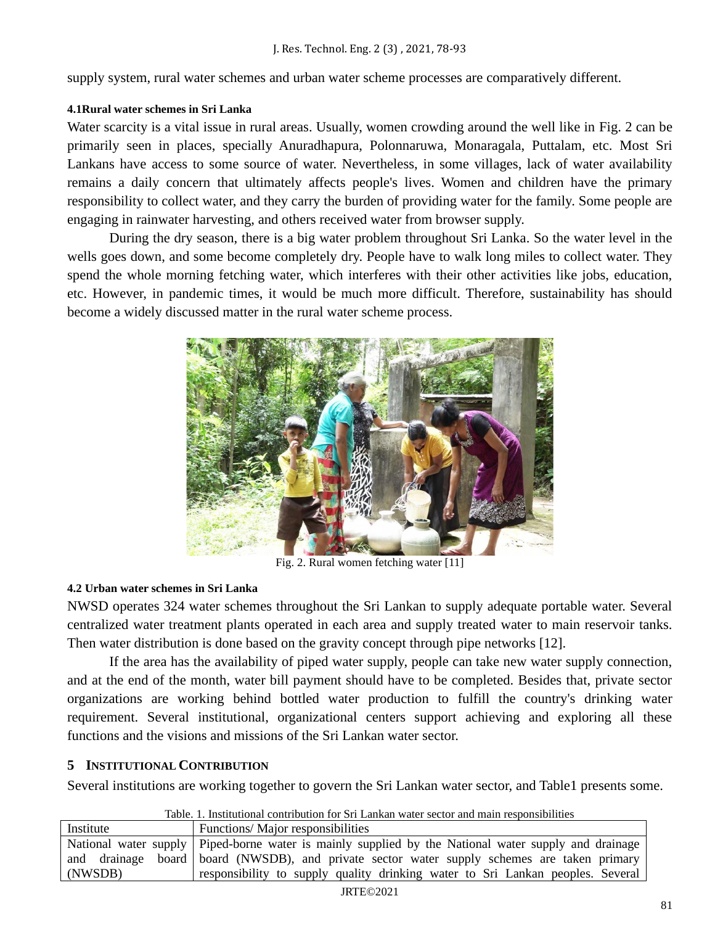supply system, rural water schemes and urban water scheme processes are comparatively different.

## **4.1Rural water schemes in Sri Lanka**

Water scarcity is a vital issue in rural areas. Usually, women crowding around the well like in Fig. 2 can be primarily seen in places, specially Anuradhapura, Polonnaruwa, Monaragala, Puttalam, etc. Most Sri Lankans have access to some source of water. Nevertheless, in some villages, lack of water availability remains a daily concern that ultimately affects people's lives. Women and children have the primary responsibility to collect water, and they carry the burden of providing water for the family. Some people are engaging in rainwater harvesting, and others received water from browser supply.

During the dry season, there is a big water problem throughout Sri Lanka. So the water level in the wells goes down, and some become completely dry. People have to walk long miles to collect water. They spend the whole morning fetching water, which interferes with their other activities like jobs, education, etc. However, in pandemic times, it would be much more difficult. Therefore, sustainability has should become a widely discussed matter in the rural water scheme process.



Fig. 2. Rural women fetching water [11]

# **4.2 Urban water schemes in Sri Lanka**

NWSD operates 324 water schemes throughout the Sri Lankan to supply adequate portable water. Several centralized water treatment plants operated in each area and supply treated water to main reservoir tanks. Then water distribution is done based on the gravity concept through pipe networks [12].

If the area has the availability of piped water supply, people can take new water supply connection, and at the end of the month, water bill payment should have to be completed. Besides that, private sector organizations are working behind bottled water production to fulfill the country's drinking water requirement. Several institutional, organizational centers support achieving and exploring all these functions and the visions and missions of the Sri Lankan water sector.

# **5 INSTITUTIONAL CONTRIBUTION**

Several institutions are working together to govern the Sri Lankan water sector, and Table1 presents some.

|  |  |  | Table, 1. Institutional contribution for Sri Lankan water sector and main responsibilities |  |  |  |  |  |  |  |  |  |  |
|--|--|--|--------------------------------------------------------------------------------------------|--|--|--|--|--|--|--|--|--|--|
|--|--|--|--------------------------------------------------------------------------------------------|--|--|--|--|--|--|--|--|--|--|

| Institute | Functions/Major responsibilities                                                                       |
|-----------|--------------------------------------------------------------------------------------------------------|
|           | National water supply   Piped-borne water is mainly supplied by the National water supply and drainage |
|           | and drainage board board (NWSDB), and private sector water supply schemes are taken primary            |
| (NWSDB)   | responsibility to supply quality drinking water to Sri Lankan peoples. Several                         |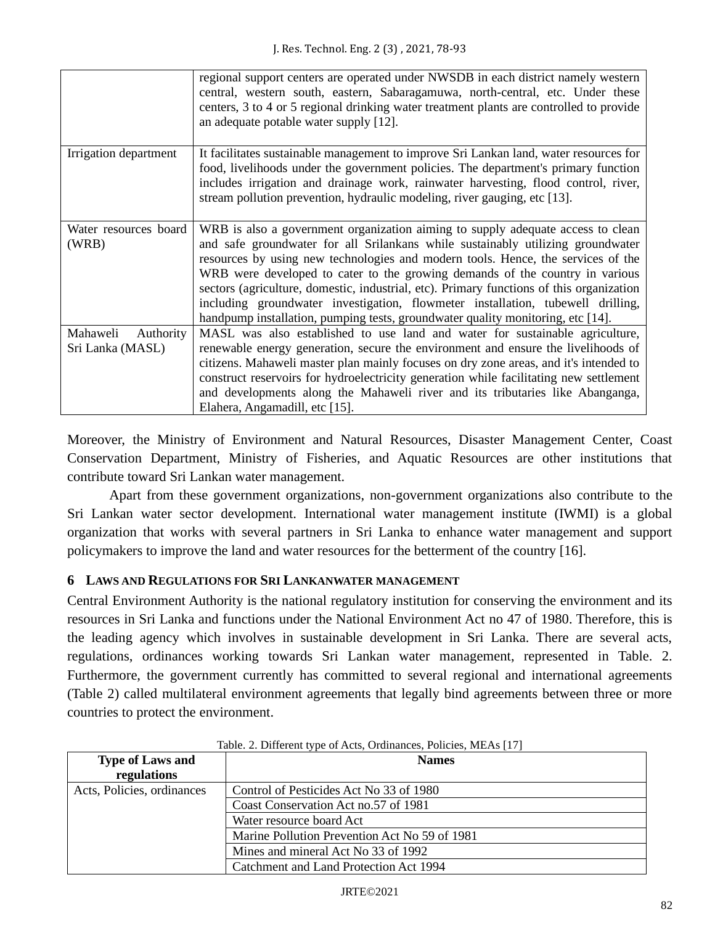|                       | regional support centers are operated under NWSDB in each district namely western<br>central, western south, eastern, Sabaragamuwa, north-central, etc. Under these<br>centers, 3 to 4 or 5 regional drinking water treatment plants are controlled to provide<br>an adequate potable water supply [12].                                       |
|-----------------------|------------------------------------------------------------------------------------------------------------------------------------------------------------------------------------------------------------------------------------------------------------------------------------------------------------------------------------------------|
| Irrigation department | It facilitates sustainable management to improve Sri Lankan land, water resources for<br>food, livelihoods under the government policies. The department's primary function<br>includes irrigation and drainage work, rainwater harvesting, flood control, river,<br>stream pollution prevention, hydraulic modeling, river gauging, etc [13]. |
| Water resources board | WRB is also a government organization aiming to supply adequate access to clean                                                                                                                                                                                                                                                                |
| (WRB)                 | and safe groundwater for all Srilankans while sustainably utilizing groundwater                                                                                                                                                                                                                                                                |
|                       | resources by using new technologies and modern tools. Hence, the services of the                                                                                                                                                                                                                                                               |
|                       | WRB were developed to cater to the growing demands of the country in various                                                                                                                                                                                                                                                                   |
|                       | sectors (agriculture, domestic, industrial, etc). Primary functions of this organization                                                                                                                                                                                                                                                       |
|                       | including groundwater investigation, flowmeter installation, tubewell drilling,                                                                                                                                                                                                                                                                |
|                       | handpump installation, pumping tests, groundwater quality monitoring, etc [14].                                                                                                                                                                                                                                                                |
| Mahaweli<br>Authority | MASL was also established to use land and water for sustainable agriculture,                                                                                                                                                                                                                                                                   |
| Sri Lanka (MASL)      | renewable energy generation, secure the environment and ensure the livelihoods of                                                                                                                                                                                                                                                              |
|                       | citizens. Mahaweli master plan mainly focuses on dry zone areas, and it's intended to                                                                                                                                                                                                                                                          |
|                       | construct reservoirs for hydroelectricity generation while facilitating new settlement                                                                                                                                                                                                                                                         |
|                       | and developments along the Mahaweli river and its tributaries like Abanganga,                                                                                                                                                                                                                                                                  |
|                       | Elahera, Angamadill, etc [15].                                                                                                                                                                                                                                                                                                                 |

Moreover, the Ministry of Environment and Natural Resources, Disaster Management Center, Coast Conservation Department, Ministry of Fisheries, and Aquatic Resources are other institutions that contribute toward Sri Lankan water management.

Apart from these government organizations, non-government organizations also contribute to the Sri Lankan water sector development. International water management institute (IWMI) is a global organization that works with several partners in Sri Lanka to enhance water management and support policymakers to improve the land and water resources for the betterment of the country [16].

# **6 LAWS AND REGULATIONS FOR SRI LANKANWATER MANAGEMENT**

Central Environment Authority is the national regulatory institution for conserving the environment and its resources in Sri Lanka and functions under the National Environment Act no 47 of 1980. Therefore, this is the leading agency which involves in sustainable development in Sri Lanka. There are several acts, regulations, ordinances working towards Sri Lankan water management, represented in Table. 2. Furthermore, the government currently has committed to several regional and international agreements (Table 2) called multilateral environment agreements that legally bind agreements between three or more countries to protect the environment.

| <b>Type of Laws and</b>    | <b>Names</b>                                  |  |  |  |
|----------------------------|-----------------------------------------------|--|--|--|
| regulations                |                                               |  |  |  |
| Acts, Policies, ordinances | Control of Pesticides Act No 33 of 1980       |  |  |  |
|                            | Coast Conservation Act no.57 of 1981          |  |  |  |
|                            | Water resource board Act                      |  |  |  |
|                            | Marine Pollution Prevention Act No 59 of 1981 |  |  |  |
|                            | Mines and mineral Act No 33 of 1992           |  |  |  |
|                            | Catchment and Land Protection Act 1994        |  |  |  |

# Table. 2. Different type of Acts, Ordinances, Policies, MEAs [17]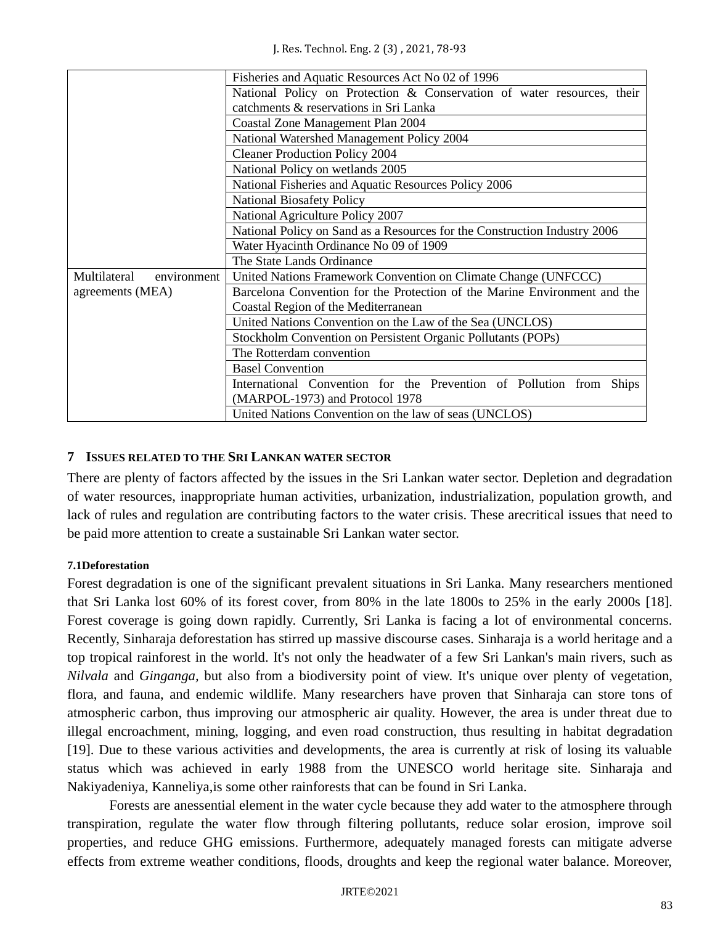|                             | Fisheries and Aquatic Resources Act No 02 of 1996                         |  |  |  |  |  |
|-----------------------------|---------------------------------------------------------------------------|--|--|--|--|--|
|                             | National Policy on Protection & Conservation of water resources, their    |  |  |  |  |  |
|                             | catchments & reservations in Sri Lanka                                    |  |  |  |  |  |
|                             | Coastal Zone Management Plan 2004                                         |  |  |  |  |  |
|                             | National Watershed Management Policy 2004                                 |  |  |  |  |  |
|                             | <b>Cleaner Production Policy 2004</b>                                     |  |  |  |  |  |
|                             | National Policy on wetlands 2005                                          |  |  |  |  |  |
|                             | National Fisheries and Aquatic Resources Policy 2006                      |  |  |  |  |  |
|                             | <b>National Biosafety Policy</b>                                          |  |  |  |  |  |
|                             | National Agriculture Policy 2007                                          |  |  |  |  |  |
|                             | National Policy on Sand as a Resources for the Construction Industry 2006 |  |  |  |  |  |
|                             | Water Hyacinth Ordinance No 09 of 1909                                    |  |  |  |  |  |
|                             | The State Lands Ordinance                                                 |  |  |  |  |  |
| Multilateral<br>environment | United Nations Framework Convention on Climate Change (UNFCCC)            |  |  |  |  |  |
| agreements (MEA)            | Barcelona Convention for the Protection of the Marine Environment and the |  |  |  |  |  |
|                             | Coastal Region of the Mediterranean                                       |  |  |  |  |  |
|                             | United Nations Convention on the Law of the Sea (UNCLOS)                  |  |  |  |  |  |
|                             | Stockholm Convention on Persistent Organic Pollutants (POPs)              |  |  |  |  |  |
|                             | The Rotterdam convention                                                  |  |  |  |  |  |
|                             | <b>Basel Convention</b>                                                   |  |  |  |  |  |
|                             | International Convention for the Prevention of Pollution from Ships       |  |  |  |  |  |
|                             | (MARPOL-1973) and Protocol 1978                                           |  |  |  |  |  |
|                             | United Nations Convention on the law of seas (UNCLOS)                     |  |  |  |  |  |

# **7 ISSUES RELATED TO THE SRI LANKAN WATER SECTOR**

There are plenty of factors affected by the issues in the Sri Lankan water sector. Depletion and degradation of water resources, inappropriate human activities, urbanization, industrialization, population growth, and lack of rules and regulation are contributing factors to the water crisis. These arecritical issues that need to be paid more attention to create a sustainable Sri Lankan water sector.

# **7.1Deforestation**

Forest degradation is one of the significant prevalent situations in Sri Lanka. Many researchers mentioned that Sri Lanka lost 60% of its forest cover, from 80% in the late 1800s to 25% in the early 2000s [18]. Forest coverage is going down rapidly. Currently, Sri Lanka is facing a lot of environmental concerns. Recently, Sinharaja deforestation has stirred up massive discourse cases. Sinharaja is a world heritage and a top tropical rainforest in the world. It's not only the headwater of a few Sri Lankan's main rivers, such as *Nilvala* and *Ginganga,* but also from a biodiversity point of view. It's unique over plenty of vegetation, flora, and fauna, and endemic wildlife. Many researchers have proven that Sinharaja can store tons of atmospheric carbon, thus improving our atmospheric air quality. However, the area is under threat due to illegal encroachment, mining, logging, and even road construction, thus resulting in habitat degradation [19]. Due to these various activities and developments, the area is currently at risk of losing its valuable status which was achieved in early 1988 from the UNESCO world heritage site. Sinharaja and Nakiyadeniya, Kanneliya,is some other rainforests that can be found in Sri Lanka.

Forests are anessential element in the water cycle because they add water to the atmosphere through transpiration, regulate the water flow through filtering pollutants, reduce solar erosion, improve soil properties, and reduce GHG emissions. Furthermore, adequately managed forests can mitigate adverse effects from extreme weather conditions, floods, droughts and keep the regional water balance. Moreover,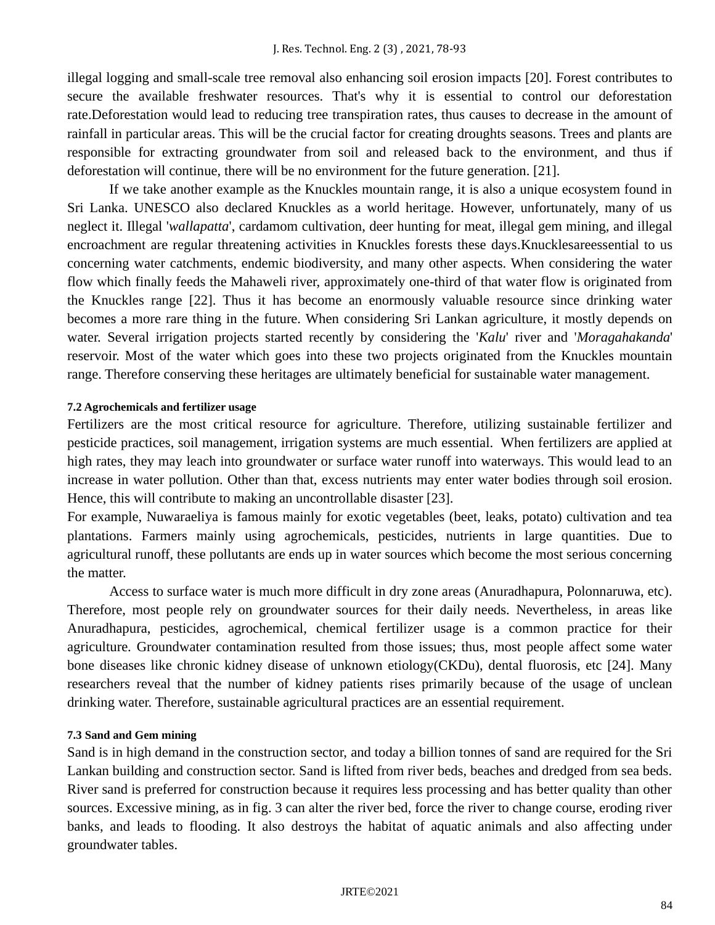illegal logging and small-scale tree removal also enhancing soil erosion impacts [20]. Forest contributes to secure the available freshwater resources. That's why it is essential to control our deforestation rate.Deforestation would lead to reducing tree transpiration rates, thus causes to decrease in the amount of rainfall in particular areas. This will be the crucial factor for creating droughts seasons. Trees and plants are responsible for extracting groundwater from soil and released back to the environment, and thus if deforestation will continue, there will be no environment for the future generation. [21].

If we take another example as the Knuckles mountain range, it is also a unique ecosystem found in Sri Lanka. UNESCO also declared Knuckles as a world heritage. However, unfortunately, many of us neglect it. Illegal '*wallapatta*', cardamom cultivation, deer hunting for meat, illegal gem mining, and illegal encroachment are regular threatening activities in Knuckles forests these days.Knucklesareessential to us concerning water catchments, endemic biodiversity, and many other aspects. When considering the water flow which finally feeds the Mahaweli river, approximately one-third of that water flow is originated from the Knuckles range [22]. Thus it has become an enormously valuable resource since drinking water becomes a more rare thing in the future. When considering Sri Lankan agriculture, it mostly depends on water. Several irrigation projects started recently by considering the '*Kalu*' river and '*Moragahakanda*' reservoir. Most of the water which goes into these two projects originated from the Knuckles mountain range. Therefore conserving these heritages are ultimately beneficial for sustainable water management.

#### **7.2 Agrochemicals and fertilizer usage**

Fertilizers are the most critical resource for agriculture. Therefore, utilizing sustainable fertilizer and pesticide practices, soil management, irrigation systems are much essential. When fertilizers are applied at high rates, they may leach into groundwater or surface water runoff into waterways. This would lead to an increase in water pollution. Other than that, excess nutrients may enter water bodies through soil erosion. Hence, this will contribute to making an uncontrollable disaster [23].

For example, Nuwaraeliya is famous mainly for exotic vegetables (beet, leaks, potato) cultivation and tea plantations. Farmers mainly using agrochemicals, pesticides, nutrients in large quantities. Due to agricultural runoff, these pollutants are ends up in water sources which become the most serious concerning the matter.

Access to surface water is much more difficult in dry zone areas (Anuradhapura, Polonnaruwa, etc). Therefore, most people rely on groundwater sources for their daily needs. Nevertheless, in areas like Anuradhapura, pesticides, agrochemical, chemical fertilizer usage is a common practice for their agriculture. Groundwater contamination resulted from those issues; thus, most people affect some water bone diseases like chronic kidney disease of unknown etiology(CKDu), dental fluorosis, etc [24]. Many researchers reveal that the number of kidney patients rises primarily because of the usage of unclean drinking water. Therefore, sustainable agricultural practices are an essential requirement.

#### **7.3 Sand and Gem mining**

Sand is in high demand in the construction sector, and today a billion tonnes of sand are required for the Sri Lankan building and construction sector. Sand is lifted from river beds, beaches and dredged from sea beds. River sand is preferred for construction because it requires less processing and has better quality than other sources. Excessive mining, as in fig. 3 can alter the river bed, force the river to change course, eroding river banks, and leads to flooding. It also destroys the habitat of aquatic animals and also affecting under groundwater tables.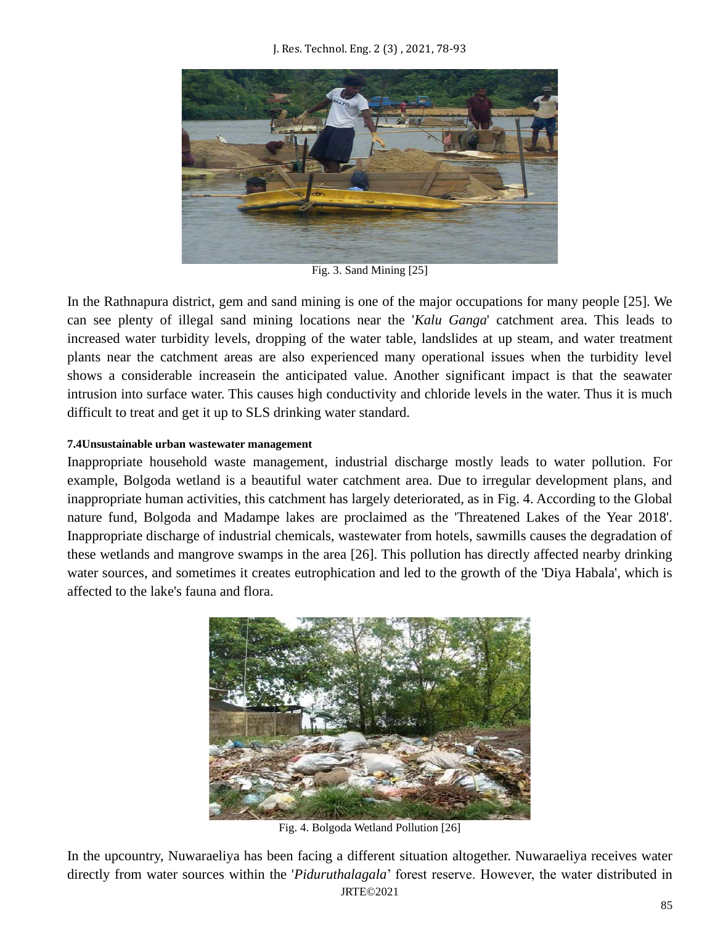

Fig. 3. Sand Mining [25]

In the Rathnapura district, gem and sand mining is one of the major occupations for many people [25]. We can see plenty of illegal sand mining locations near the '*Kalu Ganga*' catchment area. This leads to increased water turbidity levels, dropping of the water table, landslides at up steam, and water treatment plants near the catchment areas are also experienced many operational issues when the turbidity level shows a considerable increasein the anticipated value. Another significant impact is that the seawater intrusion into surface water. This causes high conductivity and chloride levels in the water. Thus it is much difficult to treat and get it up to SLS drinking water standard.

# **7.4Unsustainable urban wastewater management**

Inappropriate household waste management, industrial discharge mostly leads to water pollution. For example, Bolgoda wetland is a beautiful water catchment area. Due to irregular development plans, and inappropriate human activities, this catchment has largely deteriorated, as in Fig. 4. According to the Global nature fund, Bolgoda and Madampe lakes are proclaimed as the 'Threatened Lakes of the Year 2018'. Inappropriate discharge of industrial chemicals, wastewater from hotels, sawmills causes the degradation of these wetlands and mangrove swamps in the area [26]. This pollution has directly affected nearby drinking water sources, and sometimes it creates eutrophication and led to the growth of the 'Diya Habala', which is affected to the lake's fauna and flora.



Fig. 4. Bolgoda Wetland Pollution [26]

JRTE©2021 In the upcountry, Nuwaraeliya has been facing a different situation altogether. Nuwaraeliya receives water directly from water sources within the '*Piduruthalagala*' forest reserve. However, the water distributed in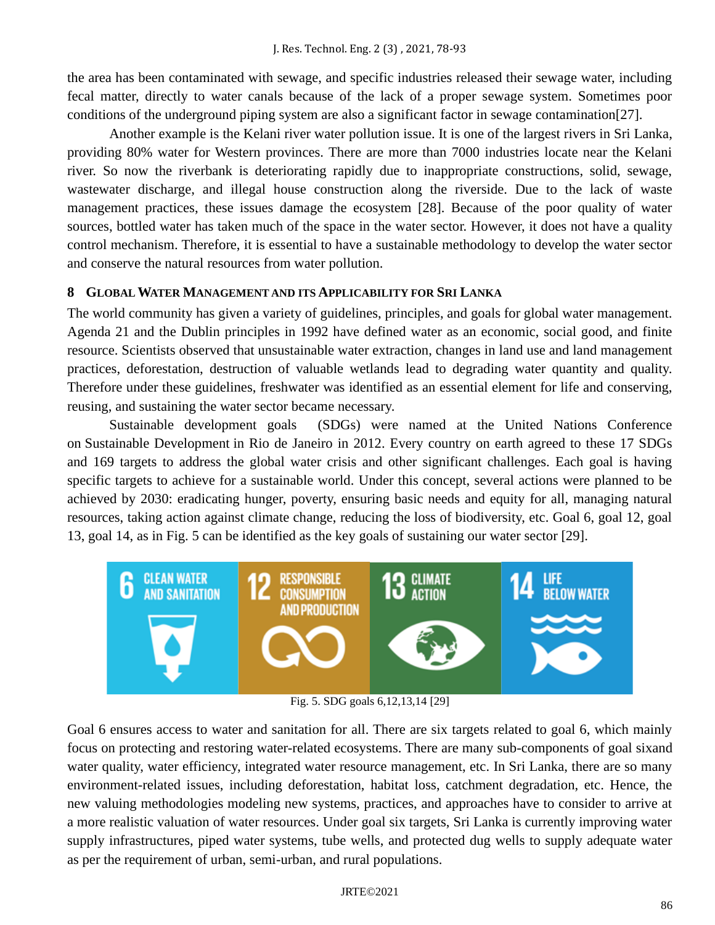the area has been contaminated with sewage, and specific industries released their sewage water, including fecal matter, directly to water canals because of the lack of a proper sewage system. Sometimes poor conditions of the underground piping system are also a significant factor in sewage contamination[27].

Another example is the Kelani river water pollution issue. It is one of the largest rivers in Sri Lanka, providing 80% water for Western provinces. There are more than 7000 industries locate near the Kelani river. So now the riverbank is deteriorating rapidly due to inappropriate constructions, solid, sewage, wastewater discharge, and illegal house construction along the riverside. Due to the lack of waste management practices, these issues damage the ecosystem [28]. Because of the poor quality of water sources, bottled water has taken much of the space in the water sector. However, it does not have a quality control mechanism. Therefore, it is essential to have a sustainable methodology to develop the water sector and conserve the natural resources from water pollution.

# **8 GLOBAL WATER MANAGEMENT AND ITS APPLICABILITY FOR SRI LANKA**

The world community has given a variety of guidelines, principles, and goals for global water management. Agenda 21 and the Dublin principles in 1992 have defined water as an economic, social good, and finite resource. Scientists observed that unsustainable water extraction, changes in land use and land management practices, deforestation, destruction of valuable wetlands lead to degrading water quantity and quality. Therefore under these guidelines, freshwater was identified as an essential element for life and conserving, reusing, and sustaining the water sector became necessary.

Sustainable development goals (SDGs) were named at the United Nations Conference on Sustainable Development in Rio de Janeiro in 2012. Every country on earth agreed to these 17 SDGs and 169 targets to address the global water crisis and other significant challenges. Each goal is having specific targets to achieve for a sustainable world. Under this concept, several actions were planned to be achieved by 2030: eradicating hunger, poverty, ensuring basic needs and equity for all, managing natural resources, taking action against climate change, reducing the loss of biodiversity, etc. Goal 6, goal 12, goal 13, goal 14, as in Fig. 5 can be identified as the key goals of sustaining our water sector [29].



Fig. 5. SDG goals 6,12,13,14 [29]

Goal 6 ensures access to water and sanitation for all. There are six targets related to goal 6, which mainly focus on protecting and restoring water-related ecosystems. There are many sub-components of goal sixand water quality, water efficiency, integrated water resource management, etc. In Sri Lanka, there are so many environment-related issues, including deforestation, habitat loss, catchment degradation, etc. Hence, the new valuing methodologies modeling new systems, practices, and approaches have to consider to arrive at a more realistic valuation of water resources. Under goal six targets, Sri Lanka is currently improving water supply infrastructures, piped water systems, tube wells, and protected dug wells to supply adequate water as per the requirement of urban, semi-urban, and rural populations.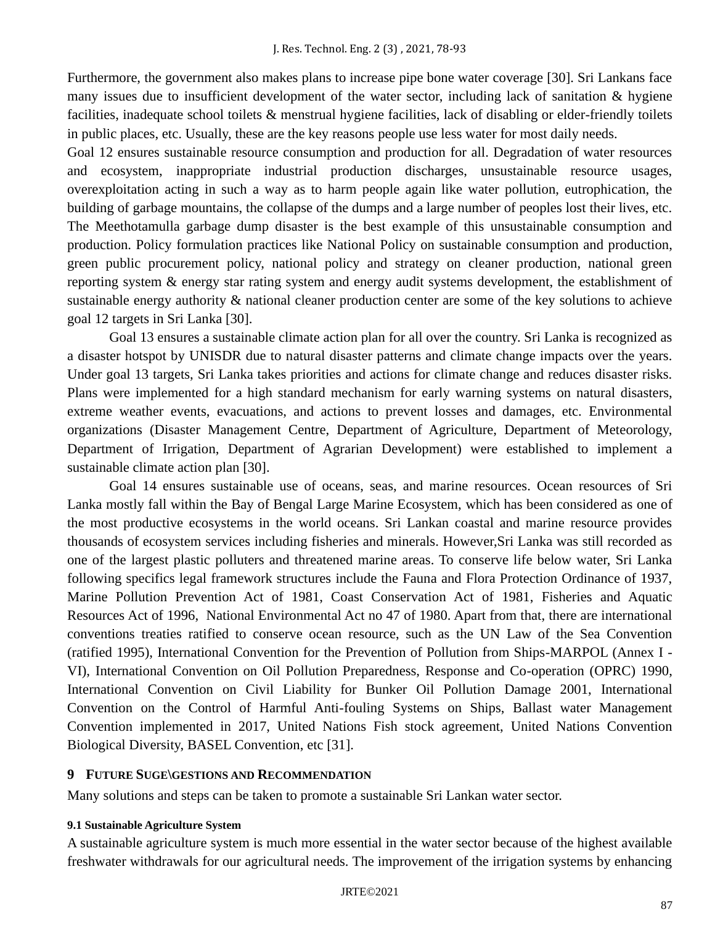Furthermore, the government also makes plans to increase pipe bone water coverage [30]. Sri Lankans face many issues due to insufficient development of the water sector, including lack of sanitation & hygiene facilities, inadequate school toilets & menstrual hygiene facilities, lack of disabling or elder-friendly toilets in public places, etc. Usually, these are the key reasons people use less water for most daily needs.

Goal 12 ensures sustainable resource consumption and production for all. Degradation of water resources and ecosystem, inappropriate industrial production discharges, unsustainable resource usages, overexploitation acting in such a way as to harm people again like water pollution, eutrophication, the building of garbage mountains, the collapse of the dumps and a large number of peoples lost their lives, etc. [The Meethotamulla garbage dump disaster is the best example of this unsustainable consumption and](https://blogs.agu.org/landslideblog/2017/04/16/meethotamulla-1/)  [production. Policy formulation practices like National Policy on sustainable consumption and production,](https://blogs.agu.org/landslideblog/2017/04/16/meethotamulla-1/)  [green public procurement policy, national policy and strategy on cleaner production, national green](https://blogs.agu.org/landslideblog/2017/04/16/meethotamulla-1/)  [reporting system & energy star rating system and energy audit systems development, the establishment of](https://blogs.agu.org/landslideblog/2017/04/16/meethotamulla-1/)  [sustainable energy authority & national cleaner production center are some of the key solutions to achieve](https://blogs.agu.org/landslideblog/2017/04/16/meethotamulla-1/)  [goal 12 targets in Sri Lanka \[30\].](https://blogs.agu.org/landslideblog/2017/04/16/meethotamulla-1/)

Goal 13 ensures a sustainable climate action plan for all over the country. Sri Lanka is recognized as a disaster hotspot by UNISDR due to natural disaster patterns and climate change impacts over the years. Under goal 13 targets, Sri Lanka takes priorities and actions for climate change and reduces disaster risks. Plans were implemented for a high standard mechanism for early warning systems on natural disasters, extreme weather events, evacuations, and actions to prevent losses and damages, etc. Environmental organizations (Disaster Management Centre, Department of Agriculture, Department of Meteorology, Department of Irrigation, Department of Agrarian Development) were established to implement a sustainable climate action plan [30].

Goal 14 ensures sustainable use of oceans, seas, and marine resources. Ocean resources of Sri Lanka mostly fall within the Bay of Bengal Large Marine Ecosystem, which has been considered as one of the most productive ecosystems in the world oceans. Sri Lankan coastal and marine resource provides thousands of ecosystem services including fisheries and minerals. However,Sri Lanka was still recorded as one of the largest plastic polluters and threatened marine areas. To conserve life below water, Sri Lanka following specifics legal framework structures include the Fauna and Flora Protection Ordinance of 1937, Marine Pollution Prevention Act of 1981, Coast Conservation Act of 1981, Fisheries and Aquatic Resources Act of 1996, National Environmental Act no 47 of 1980. Apart from that, there are international conventions treaties ratified to conserve ocean resource, such as the UN Law of the Sea Convention (ratified 1995), International Convention for the Prevention of Pollution from Ships-MARPOL (Annex I - VI), International Convention on Oil Pollution Preparedness, Response and Co-operation (OPRC) 1990, International Convention on Civil Liability for Bunker Oil Pollution Damage 2001, International Convention on the Control of Harmful Anti-fouling Systems on Ships, Ballast water Management Convention implemented in 2017, United Nations Fish stock agreement, United Nations Convention Biological Diversity, BASEL Convention, etc [31].

# **9 FUTURE SUGE\GESTIONS AND RECOMMENDATION**

Many solutions and steps can be taken to promote a sustainable Sri Lankan water sector.

#### **9.1 Sustainable Agriculture System**

A sustainable agriculture system is much more essential in the water sector because of the highest available freshwater withdrawals for our agricultural needs. The improvement of the irrigation systems by enhancing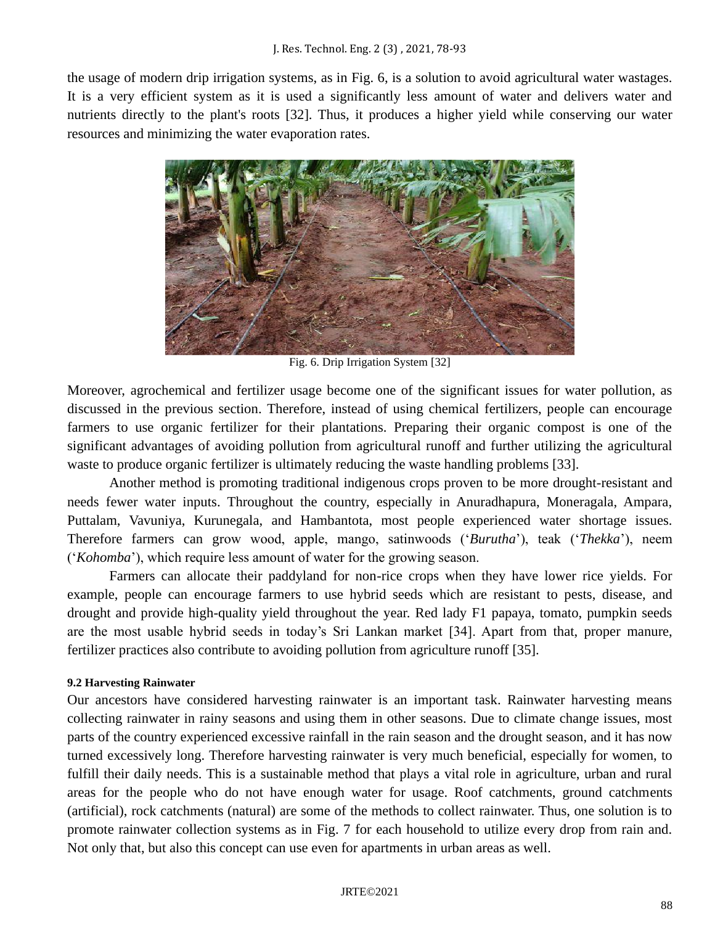the usage of modern drip irrigation systems, as in Fig. 6, is a solution to avoid agricultural water wastages. It is a very efficient system as it is used a significantly less amount of water and delivers water and nutrients directly to the plant's roots [32]. Thus, it produces a higher yield while conserving our water resources and minimizing the water evaporation rates.



Fig. 6. Drip Irrigation System [32]

Moreover, agrochemical and fertilizer usage become one of the significant issues for water pollution, as discussed in the previous section. Therefore, instead of using chemical fertilizers, people can encourage farmers to use organic fertilizer for their plantations. Preparing their organic compost is one of the significant advantages of avoiding pollution from agricultural runoff and further utilizing the agricultural waste to produce organic fertilizer is ultimately reducing the waste handling problems [33].

Another method is promoting traditional indigenous crops proven to be more drought-resistant and needs fewer water inputs. Throughout the country, especially in Anuradhapura, Moneragala, Ampara, Puttalam, Vavuniya, Kurunegala, and Hambantota, most people experienced water shortage issues. Therefore farmers can grow wood, apple, mango, satinwoods ('*Burutha*'), teak ('*Thekka*'), neem ('*Kohomba*'), which require less amount of water for the growing season.

Farmers can allocate their paddyland for non-rice crops when they have lower rice yields. For example, people can encourage farmers to use hybrid seeds which are resistant to pests, disease, and drought and provide high-quality yield throughout the year. Red lady F1 papaya, tomato, pumpkin seeds are the most usable hybrid seeds in today's Sri Lankan market [34]. Apart from that, proper manure, fertilizer practices also contribute to avoiding pollution from agriculture runoff [35].

# **9.2 Harvesting Rainwater**

Our ancestors have considered harvesting rainwater is an important task. Rainwater harvesting means collecting rainwater in rainy seasons and using them in other seasons. Due to climate change issues, most parts of the country experienced excessive rainfall in the rain season and the drought season, and it has now turned excessively long. Therefore harvesting rainwater is very much beneficial, especially for women, to fulfill their daily needs. This is a sustainable method that plays a vital role in agriculture, urban and rural areas for the people who do not have enough water for usage. Roof catchments, ground catchments (artificial), rock catchments (natural) are some of the methods to collect rainwater. Thus, one solution is to promote rainwater collection systems as in Fig. 7 for each household to utilize every drop from rain and. Not only that, but also this concept can use even for apartments in urban areas as well.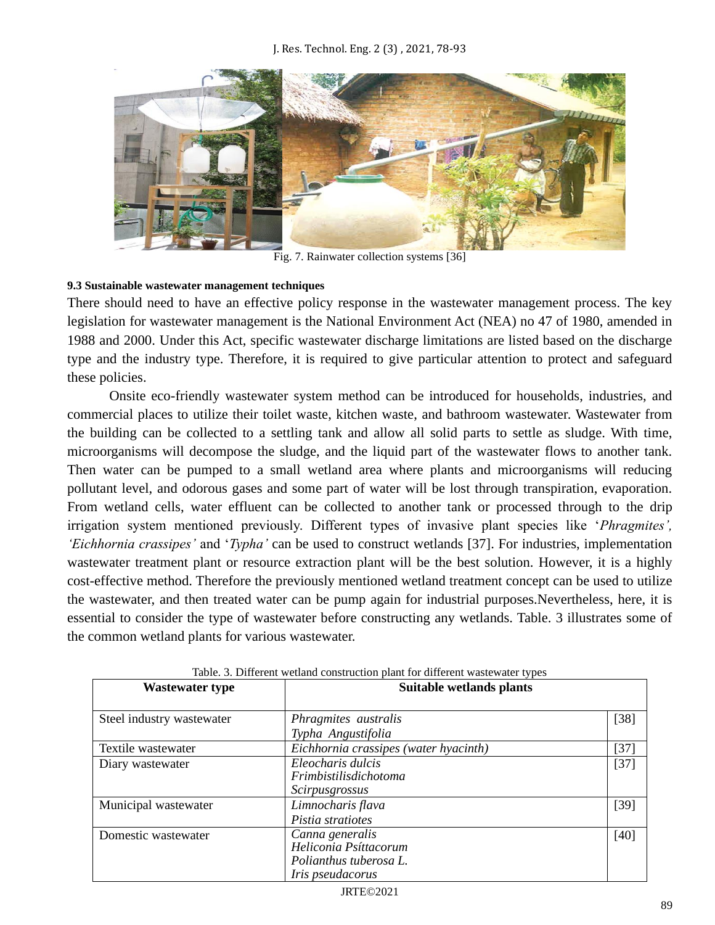

Fig. 7. Rainwater collection systems [36]

### **9.3 Sustainable wastewater management techniques**

There should need to have an effective policy response in the wastewater management process. The key legislation for wastewater management is the National Environment Act (NEA) no 47 of 1980, amended in 1988 and 2000. Under this Act, specific wastewater discharge limitations are listed based on the discharge type and the industry type. Therefore, it is required to give particular attention to protect and safeguard these policies.

Onsite eco-friendly wastewater system method can be introduced for households, industries, and commercial places to utilize their toilet waste, kitchen waste, and bathroom wastewater. Wastewater from the building can be collected to a settling tank and allow all solid parts to settle as sludge. With time, microorganisms will decompose the sludge, and the liquid part of the wastewater flows to another tank. Then water can be pumped to a small wetland area where plants and microorganisms will reducing pollutant level, and odorous gases and some part of water will be lost through transpiration, evaporation. From wetland cells, water effluent can be collected to another tank or processed through to the drip irrigation system mentioned previously. Different types of invasive plant species like '*Phragmites', 'Eichhornia crassipes'* and '*Typha'* can be used to construct wetlands [37]. For industries, implementation wastewater treatment plant or resource extraction plant will be the best solution. However, it is a highly cost-effective method. Therefore the previously mentioned wetland treatment concept can be used to utilize the wastewater, and then treated water can be pump again for industrial purposes.Nevertheless, here, it is essential to consider the type of wastewater before constructing any wetlands. Table. 3 illustrates some of the common wetland plants for various wastewater.

| <b>Wastewater type</b>    | Suitable wetlands plants                                                                      |        |  |  |
|---------------------------|-----------------------------------------------------------------------------------------------|--------|--|--|
| Steel industry wastewater | Phragmites australis<br>Typha Angustifolia                                                    | $[38]$ |  |  |
| Textile wastewater        | Eichhornia crassipes (water hyacinth)                                                         | [37]   |  |  |
| Diary wastewater          | Eleocharis dulcis<br><i>Frimbistilisdichotoma</i><br>Scirpusgrossus                           | $[37]$ |  |  |
| Municipal wastewater      | Limnocharis flava<br>Pistia stratiotes                                                        | $[39]$ |  |  |
| Domestic wastewater       | Canna generalis<br>Heliconia Psíttacorum<br>Polianthus tuberosa L.<br><i>Iris pseudacorus</i> | $[40]$ |  |  |

Table. 3. Different wetland construction plant for different wastewater types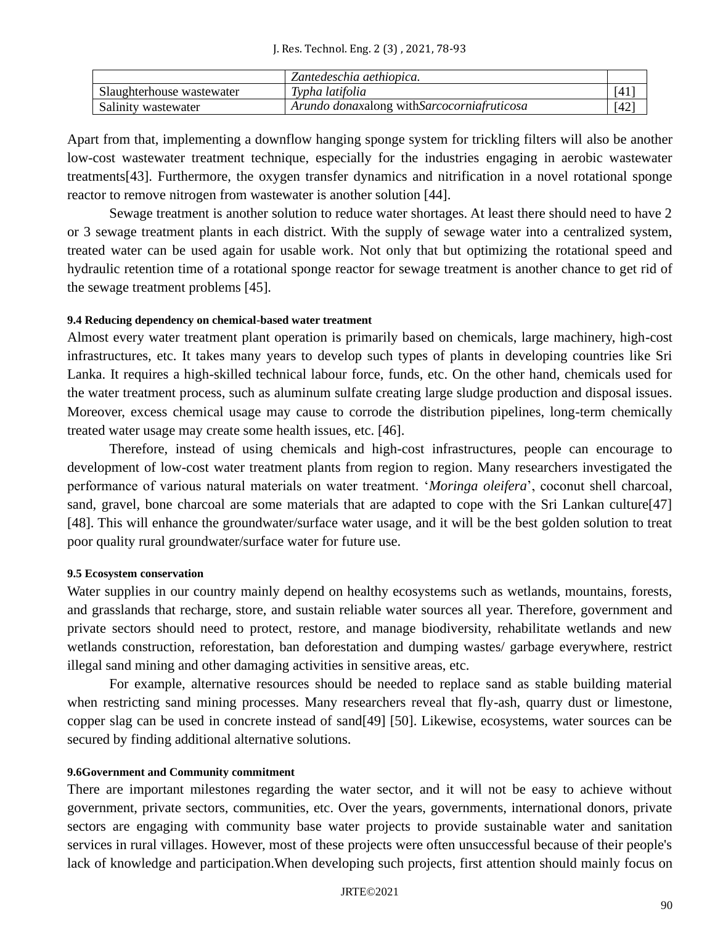|                           | Zantedeschia aethiopica.                   |      |
|---------------------------|--------------------------------------------|------|
| Slaughterhouse wastewater | Typha latifolia                            | [4]  |
| Salinity wastewater       | Arundo donaxalong withSarcocorniafruticosa | [42] |

Apart from that, implementing a downflow hanging sponge system for trickling filters will also be another low-cost wastewater treatment technique, especially for the industries engaging in aerobic wastewater treatments[43]. Furthermore, the oxygen transfer dynamics and nitrification in a novel rotational sponge reactor to remove nitrogen from wastewater is another solution [44].

Sewage treatment is another solution to reduce water shortages. At least there should need to have 2 or 3 sewage treatment plants in each district. With the supply of sewage water into a centralized system, treated water can be used again for usable work. Not only that but optimizing the rotational speed and hydraulic retention time of a rotational sponge reactor for sewage treatment is another chance to get rid of the sewage treatment problems [45].

#### **9.4 Reducing dependency on chemical-based water treatment**

Almost every water treatment plant operation is primarily based on chemicals, large machinery, high-cost infrastructures, etc. It takes many years to develop such types of plants in developing countries like Sri Lanka. It requires a high-skilled technical labour force, funds, etc. On the other hand, chemicals used for the water treatment process, such as aluminum sulfate creating large sludge production and disposal issues. Moreover, excess chemical usage may cause to corrode the distribution pipelines, long-term chemically treated water usage may create some health issues, etc. [46].

Therefore, instead of using chemicals and high-cost infrastructures, people can encourage to development of low-cost water treatment plants from region to region. Many researchers investigated the performance of various natural materials on water treatment. '*Moringa oleifera*', coconut shell charcoal, sand, gravel, bone charcoal are some materials that are adapted to cope with the Sri Lankan culture[47] [48]. This will enhance the groundwater/surface water usage, and it will be the best golden solution to treat poor quality rural groundwater/surface water for future use.

#### **9.5 Ecosystem conservation**

Water supplies in our country mainly depend on healthy ecosystems such as wetlands, mountains, forests, and grasslands that recharge, store, and sustain reliable water sources all year. Therefore, government and private sectors should need to protect, restore, and manage biodiversity, rehabilitate wetlands and new wetlands construction, reforestation, ban deforestation and dumping wastes/ garbage everywhere, restrict illegal sand mining and other damaging activities in sensitive areas, etc.

For example, alternative resources should be needed to replace sand as stable building material when restricting sand mining processes. Many researchers reveal that fly-ash, quarry dust or limestone, copper slag can be used in concrete instead of sand[49] [50]. Likewise, ecosystems, water sources can be secured by finding additional alternative solutions.

#### **9.6Government and Community commitment**

There are important milestones regarding the water sector, and it will not be easy to achieve without government, private sectors, communities, etc. Over the years, governments, international donors, private sectors are engaging with community base water projects to provide sustainable water and sanitation services in rural villages. However, most of these projects were often unsuccessful because of their people's lack of knowledge and participation.When developing such projects, first attention should mainly focus on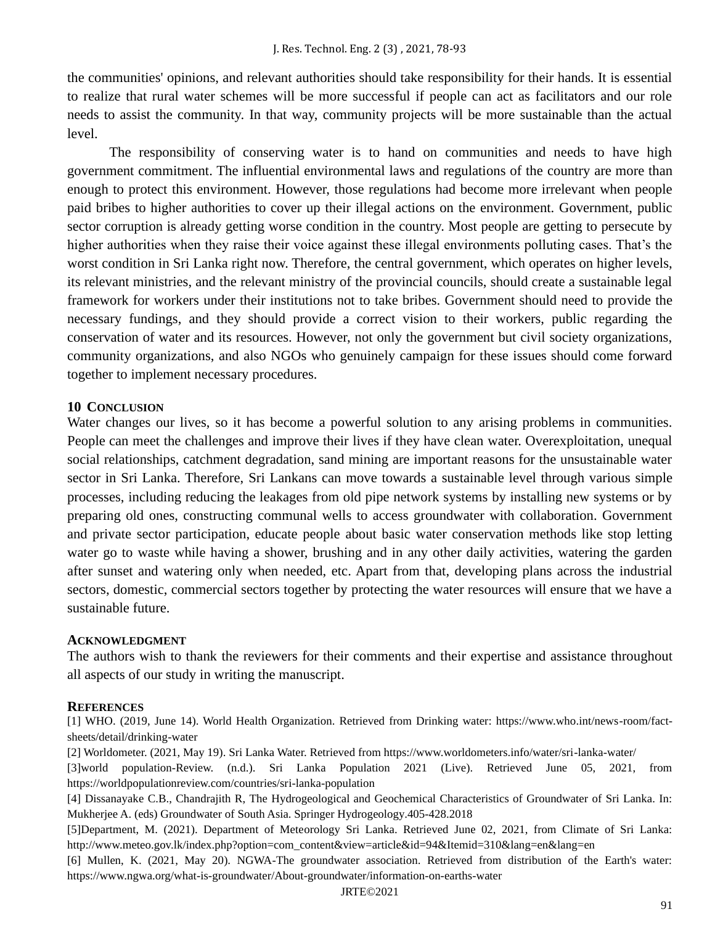the communities' opinions, and relevant authorities should take responsibility for their hands. It is essential to realize that rural water schemes will be more successful if people can act as facilitators and our role needs to assist the community. In that way, community projects will be more sustainable than the actual level.

The responsibility of conserving water is to hand on communities and needs to have high government commitment. The influential environmental laws and regulations of the country are more than enough to protect this environment. However, those regulations had become more irrelevant when people paid bribes to higher authorities to cover up their illegal actions on the environment. Government, public sector corruption is already getting worse condition in the country. Most people are getting to persecute by higher authorities when they raise their voice against these illegal environments polluting cases. That's the worst condition in Sri Lanka right now. Therefore, the central government, which operates on higher levels, its relevant ministries, and the relevant ministry of the provincial councils, should create a sustainable legal framework for workers under their institutions not to take bribes. Government should need to provide the necessary fundings, and they should provide a correct vision to their workers, public regarding the conservation of water and its resources. However, not only the government but civil society organizations, community organizations, and also NGOs who genuinely campaign for these issues should come forward together to implement necessary procedures.

# **10 CONCLUSION**

Water changes our lives, so it has become a powerful solution to any arising problems in communities. People can meet the challenges and improve their lives if they have clean water. Overexploitation, unequal social relationships, catchment degradation, sand mining are important reasons for the unsustainable water sector in Sri Lanka. Therefore, Sri Lankans can move towards a sustainable level through various simple processes, including reducing the leakages from old pipe network systems by installing new systems or by preparing old ones, constructing communal wells to access groundwater with collaboration. Government and private sector participation, educate people about basic water conservation methods like stop letting water go to waste while having a shower, brushing and in any other daily activities, watering the garden after sunset and watering only when needed, etc. Apart from that, developing plans across the industrial sectors, domestic, commercial sectors together by protecting the water resources will ensure that we have a sustainable future.

#### **ACKNOWLEDGMENT**

The authors wish to thank the reviewers for their comments and their expertise and assistance throughout all aspects of our study in writing the manuscript.

#### **REFERENCES**

[1] WHO. (2019, June 14). World Health Organization. Retrieved from Drinking water: https://www.who.int/news-room/factsheets/detail/drinking-water

[2] Worldometer. (2021, May 19). Sri Lanka Water. Retrieved from https://www.worldometers.info/water/sri-lanka-water/

[3]world population-Review. (n.d.). Sri Lanka Population 2021 (Live). Retrieved June 05, 2021, from https://worldpopulationreview.com/countries/sri-lanka-population

[4] Dissanayake C.B., Chandrajith R, The Hydrogeological and Geochemical Characteristics of Groundwater of Sri Lanka. In: Mukherjee A. (eds) Groundwater of South Asia. Springer Hydrogeology.405-428.2018

[5]Department, M. (2021). Department of Meteorology Sri Lanka. Retrieved June 02, 2021, from Climate of Sri Lanka: http://www.meteo.gov.lk/index.php?option=com\_content&view=article&id=94&Itemid=310&lang=en&lang=en

[6] Mullen, K. (2021, May 20). NGWA-The groundwater association. Retrieved from distribution of the Earth's water: <https://www.ngwa.org/what-is-groundwater/About-groundwater/information-on-earths-water>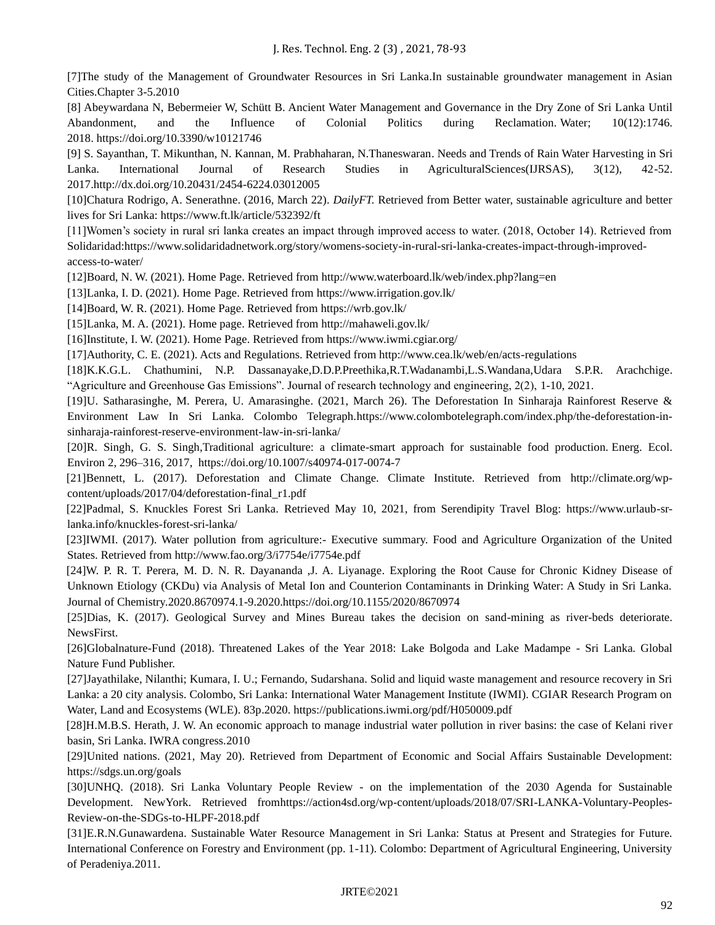[7]The study of the Management of Groundwater Resources in Sri Lanka.In sustainable groundwater management in Asian Cities.Chapter 3-5.2010

[8] Abeywardana N, Bebermeier W, Schütt B. Ancient Water Management and Governance in the Dry Zone of Sri Lanka Until Abandonment, and the Influence of Colonial Politics during Reclamation. Water; 10(12):1746. 2018. https://doi.org/10.3390/w10121746

[9] S. Sayanthan, T. Mikunthan, N. Kannan, M. Prabhaharan, N.Thaneswaran. Needs and Trends of Rain Water Harvesting in Sri Lanka. International Journal of Research Studies in AgriculturalSciences(IJRSAS), 3(12), 42-52. 2017.http://dx.doi.org/10.20431/2454-6224.03012005

[10]Chatura Rodrigo, A. Senerathne. (2016, March 22). *DailyFT.* Retrieved from Better water, sustainable agriculture and better lives for Sri Lanka: https://www.ft.lk/article/532392/ft

[11]Women's society in rural sri lanka creates an impact through improved access to water. (2018, October 14). Retrieved from Solidaridad:https://www.solidaridadnetwork.org/story/womens-society-in-rural-sri-lanka-creates-impact-through-improvedaccess-to-water/

[12]Board, N. W. (2021). Home Page. Retrieved from http://www.waterboard.lk/web/index.php?lang=en

[13]Lanka, I. D. (2021). Home Page. Retrieved from<https://www.irrigation.gov.lk/>

[14]Board, W. R. (2021). Home Page. Retrieved from https://wrb.gov.lk/

[15]Lanka, M. A. (2021). Home page. Retrieved from http://mahaweli.gov.lk/

[16]Institute, I. W. (2021). Home Page. Retrieved from https://www.iwmi.cgiar.org/

[17]Authority, C. E. (2021). Acts and Regulations. Retrieved from http://www.cea.lk/web/en/acts-regulations

[18]K.K.G.L. Chathumini, N.P. Dassanayake,D.D.P.Preethika,R.T.Wadanambi,L.S.Wandana,Udara S.P.R. Arachchige. "Agriculture and Greenhouse Gas Emissions". Journal of research technology and engineering, 2(2), 1-10, 2021.

[19]U. Satharasinghe, [M. Perera,](https://www.colombotelegraph.com/?s=Methmi+Perera) [U. Amarasinghe.](https://www.colombotelegraph.com/?s=%22Upali+Amarasinghe%22) (2021, March 26). The Deforestation In Sinharaja Rainforest Reserve & Environment Law In Sri Lanka. Colombo Telegraph.https://www.colombotelegraph.com/index.php/the-deforestation-insinharaja-rainforest-reserve-environment-law-in-sri-lanka/

[20]R. [Singh,](https://link.springer.com/article/10.1007/s40974-017-0074-7#auth-Rinku-Singh) [G. S. Singh,](https://link.springer.com/article/10.1007/s40974-017-0074-7#auth-G__S_-Singh)Traditional agriculture: a climate-smart approach for sustainable food production. Energ. Ecol. Environ 2, 296–316, 2017, https://doi.org/10.1007/s40974-017-0074-7

[21]Bennett, L. (2017). Deforestation and Climate Change. Climate Institute. Retrieved from http://climate.org/wpcontent/uploads/2017/04/deforestation-final\_r1.pdf

[22]Padmal, S. Knuckles Forest Sri Lanka. Retrieved May 10, 2021, from Serendipity Travel Blog: https://www.urlaub-srlanka.info/knuckles-forest-sri-lanka/

[23]IWMI. (2017). Water pollution from agriculture:- Executive summary. Food and Agriculture Organization of the United States. Retrieved from http://www.fao.org/3/i7754e/i7754e.pdf

[24]W. P. R. T. Perera, M. D. N. R. Dayananda ,J. A. Liyanage. Exploring the Root Cause for Chronic Kidney Disease of Unknown Etiology (CKDu) via Analysis of Metal Ion and Counterion Contaminants in Drinking Water: A Study in Sri Lanka. Journal of Chemistry.2020.8670974.1-9.2020.https://doi.org/10.1155/2020/8670974

[25]Dias, K. (2017). Geological Survey and Mines Bureau takes the decision on sand-mining as river-beds deteriorate. NewsFirst.

[26]Globalnature-Fund (2018). Threatened Lakes of the Year 2018: Lake Bolgoda and Lake Madampe - Sri Lanka. Global Nature Fund Publisher.

[27]Jayathilake, Nilanthi; Kumara, I. U.; Fernando, Sudarshana. Solid and liquid waste management and resource recovery in Sri Lanka: a 20 city analysis. Colombo, Sri Lanka: International Water Management Institute (IWMI). CGIAR Research Program on Water, Land and Ecosystems (WLE). 83p.2020. https://publications.iwmi.org/pdf/H050009.pdf

[28]H.M.B.S. Herath, J. W. An economic approach to manage industrial water pollution in river basins: the case of Kelani river basin, Sri Lanka. IWRA congress.2010

[29]United nations. (2021, May 20). Retrieved from Department of Economic and Social Affairs Sustainable Development: https://sdgs.un.org/goals

[30]UNHQ. (2018). Sri Lanka Voluntary People Review - on the implementation of the 2030 Agenda for Sustainable Development. NewYork. Retrieved fromhttps://action4sd.org/wp-content/uploads/2018/07/SRI-LANKA-Voluntary-Peoples-Review-on-the-SDGs-to-HLPF-2018.pdf

[31]E.R.N.Gunawardena. Sustainable Water Resource Management in Sri Lanka: Status at Present and Strategies for Future. International Conference on Forestry and Environment (pp. 1-11). Colombo: Department of Agricultural Engineering, University of Peradeniya.2011.